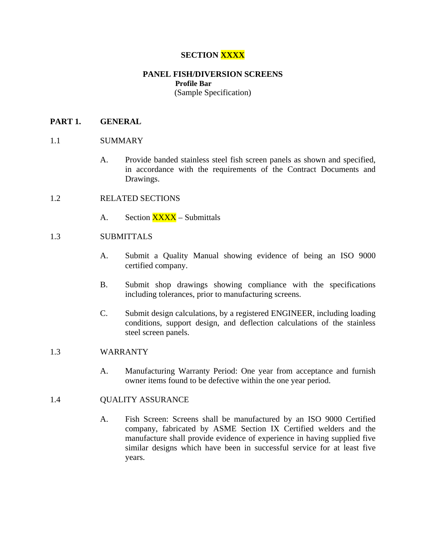# **SECTION XXXX**

# **PANEL FISH/DIVERSION SCREENS Profile Bar**

(Sample Specification)

## **PART 1. GENERAL**

## 1.1 SUMMARY

- A. Provide banded stainless steel fish screen panels as shown and specified, in accordance with the requirements of the Contract Documents and Drawings.
- 1.2 RELATED SECTIONS
	- A. Section XXXX Submittals

## 1.3 SUBMITTALS

- A. Submit a Quality Manual showing evidence of being an ISO 9000 certified company.
- B. Submit shop drawings showing compliance with the specifications including tolerances, prior to manufacturing screens.
- C. Submit design calculations, by a registered ENGINEER, including loading conditions, support design, and deflection calculations of the stainless steel screen panels.

## 1.3 WARRANTY

A. Manufacturing Warranty Period: One year from acceptance and furnish owner items found to be defective within the one year period.

## 1.4 QUALITY ASSURANCE

A. Fish Screen: Screens shall be manufactured by an ISO 9000 Certified company, fabricated by ASME Section IX Certified welders and the manufacture shall provide evidence of experience in having supplied five similar designs which have been in successful service for at least five years.